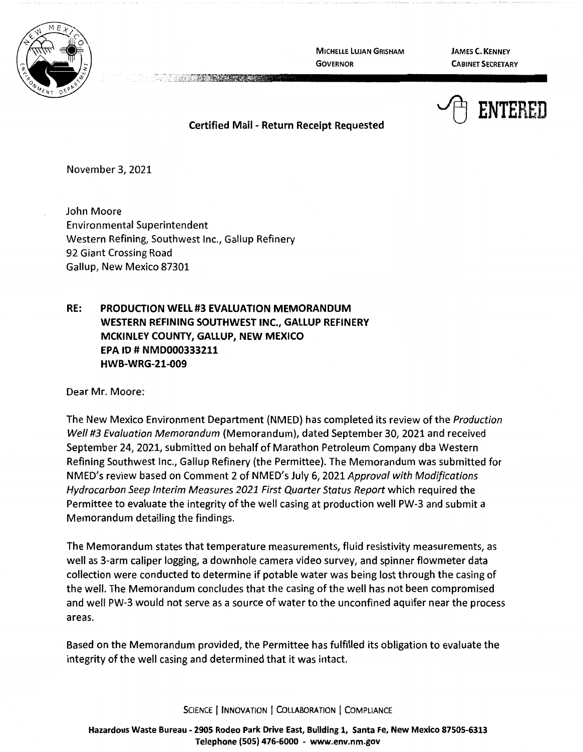

**MICHELLE LUJAN GRISHAM GOVERNOR** 

**JAMES C. KENNEY CABINET SECRETARY** 



**Certified Mail** - **Return Receipt Requested** 

November 3, 2021

John Moore Environmental Superintendent Western Refining, Southwest Inc., Gallup Refinery 92 Giant Crossing Road Gallup, New Mexico 87301

## **RE: PRODUCTION WELL#3 EVALUATION MEMORANDUM WESTERN REFINING SOUTHWEST INC., GALLUP REFINERY MCKINLEY COUNTY, GALLUP, NEW MEXICO EPA ID# NMD000333211 HWB-WRG-21-009**

Dear Mr. Moore:

The New Mexico Environment Department (NMED) has completed its review of the Production Well #3 Evaluation Memorandum (Memorandum), dated September 30, 2021 and received September 24, 2021, submitted on behalf of Marathon Petroleum Company dba Western Refining Southwest Inc., Gallup Refinery (the Permittee). The Memorandum was submitted for NMED's review based on Comment 2 of NMED's July 6, 2021 Approval with Modifications Hydrocarbon Seep Interim Measures 2021 First Quarter Status Report which required the Permittee to evaluate the integrity of the well casing at production well PW-3 and submit a Memorandum detailing the findings.

The Memorandum states that temperature measurements, fluid resistivity measurements, as well as 3-arm caliper logging, a downhole camera video survey, and spinner flowmeter data collection were conducted to determine if potable water was being lost through the casing of the well. The Memorandum concludes that the casing of the well has not been compromised and well PW-3 would not serve as a source of water to the unconfined aquifer near the process areas.

Based on the Memorandum provided, the Permittee has fulfilled its obligation to evaluate the integrity of the well casing and determined that it was intact.

SCIENCE | INNOVATION | COLLABORATION | COMPLIANCE

**Hazardous Waste Bureau** - **2905 Rodeo Park Drive East, Building 1, Santa Fe, New Mexico 87505-6313 Telephone (SOS) 476-6000** - **www.env.nm.gov**